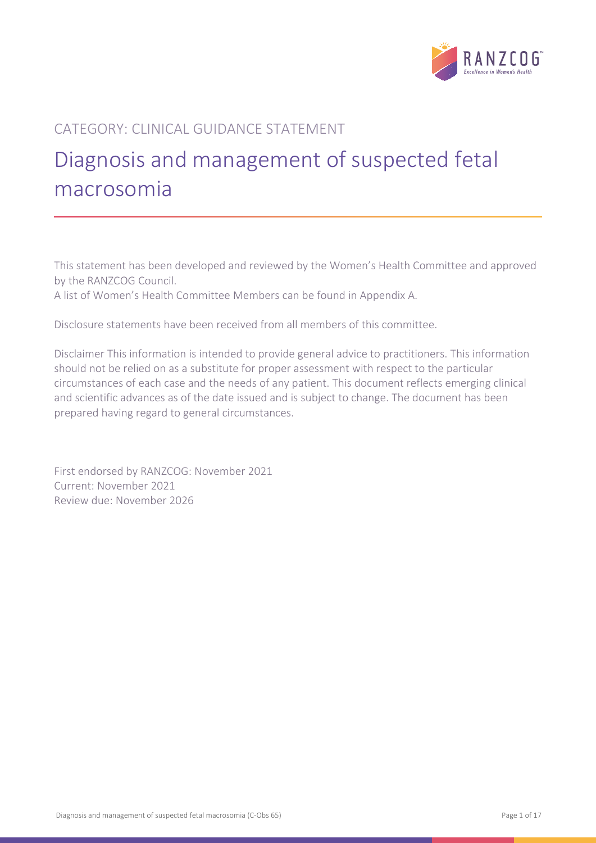

# CATEGORY: CLINICAL GUIDANCE STATEMENT

# Diagnosis and management of suspected fetal macrosomia

This statement has been developed and reviewed by the Women's Health Committee and approved by the RANZCOG Council.

A list of Women's Health Committee Members can be found in Appendix A.

Disclosure statements have been received from all members of this committee.

Disclaimer This information is intended to provide general advice to practitioners. This information should not be relied on as a substitute for proper assessment with respect to the particular circumstances of each case and the needs of any patient. This document reflects emerging clinical and scientific advances as of the date issued and is subject to change. The document has been prepared having regard to general circumstances.

First endorsed by RANZCOG: November 2021 Current: November 2021 Review due: November 2026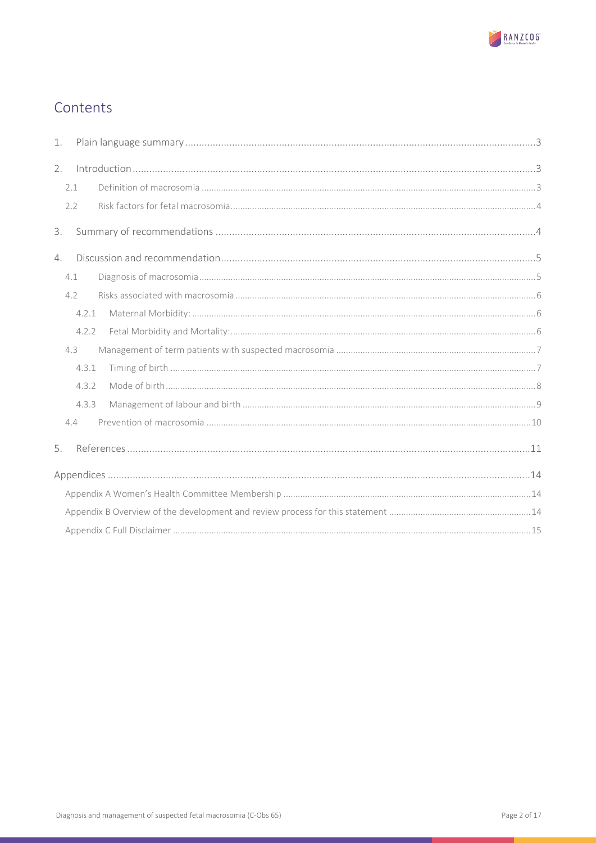

# Contents

| 1. |       |  |
|----|-------|--|
| 2. |       |  |
|    | 2.1   |  |
|    | 2.2   |  |
| 3. |       |  |
| 4. |       |  |
|    | 4.1   |  |
|    | 4.2   |  |
|    | 4.2.1 |  |
|    | 4.2.2 |  |
|    | 4.3   |  |
|    | 4.3.1 |  |
|    | 4.3.2 |  |
|    | 4.3.3 |  |
|    | 4.4   |  |
| 5. |       |  |
|    |       |  |
|    |       |  |
|    |       |  |
|    |       |  |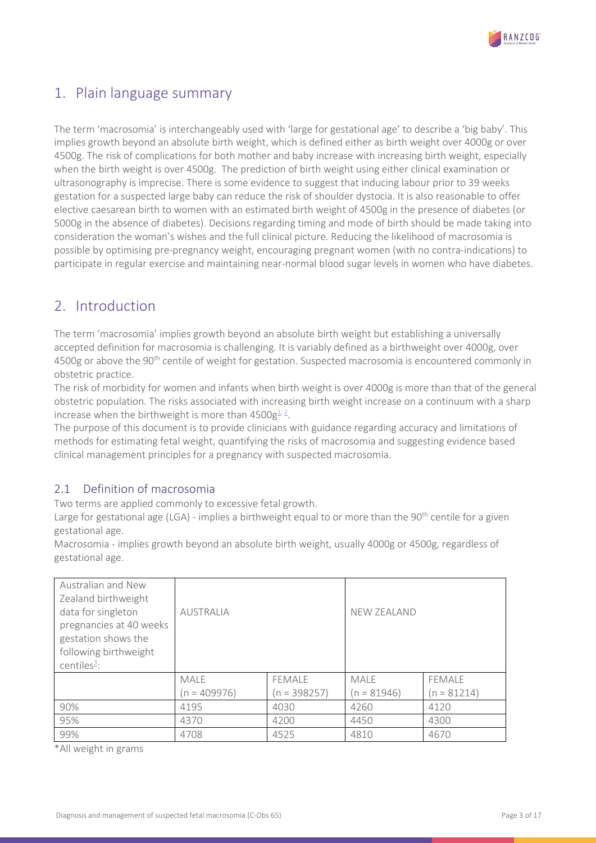

# <span id="page-2-0"></span>1. Plain language summary

The term 'macrosomia' is interchangeably used with 'large for gestational age' to describe a 'big baby'. This implies growth beyond an absolute birth weight, which is defined either as birth weight over 4000g or over 4500g. The risk of complications for both mother and baby increase with increasing birth weight, especially when the birth weight is over 4500g. The prediction of birth weight using either clinical examination or ultrasonography is imprecise. There is some evidence to suggest that inducing labour prior to 39 weeks gestation for a suspected large baby can reduce the risk of shoulder dystocia. It is also reasonable to offer elective caesarean birth to women with an estimated birth weight of 4500g in the presence of diabetes (or 5000g in the absence of diabetes). Decisions regarding timing and mode of birth should be made taking into consideration the woman's wishes and the full clinical picture. Reducing the likelihood of macrosomia is possible by optimising pre-pregnancy weight, encouraging pregnant women (with no contra-indications) to participate in regular exercise and maintaining near-normal blood sugar levels in women who have diabetes.

# <span id="page-2-1"></span>2. Introduction

The term 'macrosomia' implies growth beyond an absolute birth weight but establishing a universally accepted definition for macrosomia is challenging. It is variably defined as a birthweight over 4000g, over 4500g or above the 90<sup>th</sup> centile of weight for gestation. Suspected macrosomia is encountered commonly in obstetric practice.

The risk of morbidity for women and infants when birth weight is over 4000g is more than that of the general obstetric population. The risks associated with increasing birth weight increase on a continuum with a sharp increase when the birthweight is more than  $4500g^{\text{L}}{}^{\text{2}}$ .

The purpose of this document is to provide clinicians with guidance regarding accuracy and limitations of methods for estimating fetal weight, quantifying the risks of macrosomia and suggesting evidence based clinical management principles for a pregnancy with suspected macrosomia.

### <span id="page-2-2"></span>2.1 Definition of macrosomia

Two terms are applied commonly to excessive fetal growth.

Large for gestational age (LGA) - implies a birthweight equal to or more than the 90<sup>th</sup> centile for a given gestational age.

Macrosomia - implies growth beyond an absolute birth weight, usually 4000g or 4500g, regardless of gestational age.

| Australian and New<br>Zealand birthweight<br>data for singleton<br>pregnancies at 40 weeks<br>gestation shows the<br>following birthweight<br>centiles $\frac{3}{2}$ : | <b>AUSTRALIA</b>     |                        | NEW ZEALAND         |                         |
|------------------------------------------------------------------------------------------------------------------------------------------------------------------------|----------------------|------------------------|---------------------|-------------------------|
|                                                                                                                                                                        | MALE<br>(n = 409976) | FEMALE<br>(n = 398257) | MALE<br>(n = 81946) | FEMALE<br>$(n = 81214)$ |
| 90%                                                                                                                                                                    | 4195                 | 4030                   | 4260                | 4120                    |
| 95%                                                                                                                                                                    | 4370                 | 4200                   | 4450                | 4300                    |
| 99%                                                                                                                                                                    | 4708                 | 4525                   | 4810                | 4670                    |

\*All weight in grams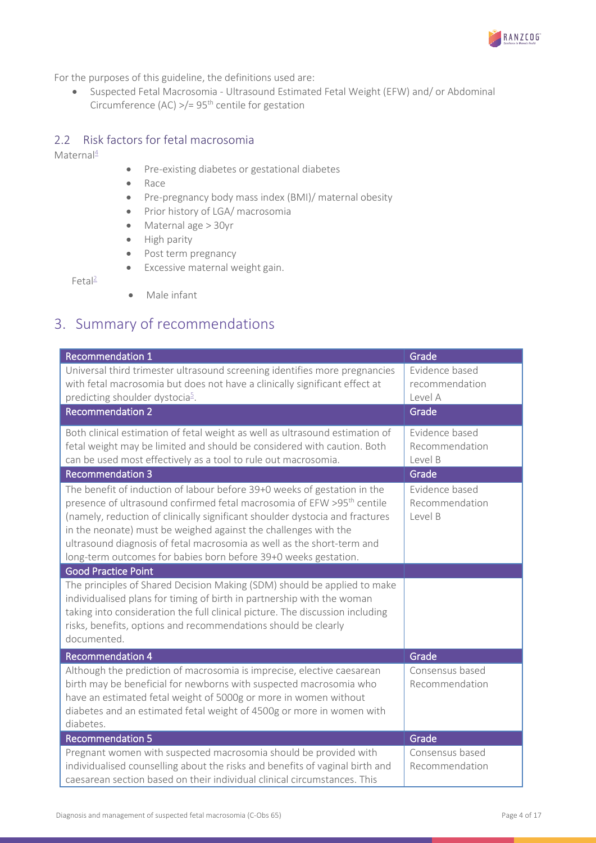

For the purposes of this guideline, the definitions used are:

• Suspected Fetal Macrosomia - Ultrasound Estimated Fetal Weight (EFW) and/ or Abdominal Circumference (AC)  $\frac{1}{5}$  95<sup>th</sup> centile for gestation

### <span id="page-3-0"></span>2.2 Risk factors for fetal macrosomia

 $Mathernal<sup>4</sup>$ 

- Pre-existing diabetes or gestational diabetes
- Race
- Pre-pregnancy body mass index (BMI)/ maternal obesity
- Prior history of LGA/ macrosomia
- Maternal age > 30yr
- High parity
- Post term pregnancy
- Excessive maternal weight gain.

Fet[al2](#page-10-2)

• Male infant

# <span id="page-3-1"></span>3. Summary of recommendations

| <b>Recommendation 1</b>                                                                                                                                                                                                                                                                                                                                                                                                                                        | Grade                                       |
|----------------------------------------------------------------------------------------------------------------------------------------------------------------------------------------------------------------------------------------------------------------------------------------------------------------------------------------------------------------------------------------------------------------------------------------------------------------|---------------------------------------------|
| Universal third trimester ultrasound screening identifies more pregnancies<br>with fetal macrosomia but does not have a clinically significant effect at<br>predicting shoulder dystocia <sup>5</sup> .                                                                                                                                                                                                                                                        | Evidence based<br>recommendation<br>Level A |
| <b>Recommendation 2</b>                                                                                                                                                                                                                                                                                                                                                                                                                                        | Grade                                       |
| Both clinical estimation of fetal weight as well as ultrasound estimation of<br>fetal weight may be limited and should be considered with caution. Both<br>can be used most effectively as a tool to rule out macrosomia.                                                                                                                                                                                                                                      | Evidence based<br>Recommendation<br>Level B |
| <b>Recommendation 3</b>                                                                                                                                                                                                                                                                                                                                                                                                                                        | Grade                                       |
| The benefit of induction of labour before 39+0 weeks of gestation in the<br>presence of ultrasound confirmed fetal macrosomia of EFW >95 <sup>th</sup> centile<br>(namely, reduction of clinically significant shoulder dystocia and fractures<br>in the neonate) must be weighed against the challenges with the<br>ultrasound diagnosis of fetal macrosomia as well as the short-term and<br>long-term outcomes for babies born before 39+0 weeks gestation. | Evidence based<br>Recommendation<br>Level B |
| <b>Good Practice Point</b>                                                                                                                                                                                                                                                                                                                                                                                                                                     |                                             |
| The principles of Shared Decision Making (SDM) should be applied to make<br>individualised plans for timing of birth in partnership with the woman<br>taking into consideration the full clinical picture. The discussion including<br>risks, benefits, options and recommendations should be clearly<br>documented.                                                                                                                                           |                                             |
| <b>Recommendation 4</b>                                                                                                                                                                                                                                                                                                                                                                                                                                        | Grade                                       |
| Although the prediction of macrosomia is imprecise, elective caesarean<br>birth may be beneficial for newborns with suspected macrosomia who<br>have an estimated fetal weight of 5000g or more in women without<br>diabetes and an estimated fetal weight of 4500g or more in women with<br>diabetes.                                                                                                                                                         | Consensus based<br>Recommendation           |
| <b>Recommendation 5</b>                                                                                                                                                                                                                                                                                                                                                                                                                                        | Grade                                       |
| Pregnant women with suspected macrosomia should be provided with<br>individualised counselling about the risks and benefits of vaginal birth and<br>caesarean section based on their individual clinical circumstances. This                                                                                                                                                                                                                                   | Consensus based<br>Recommendation           |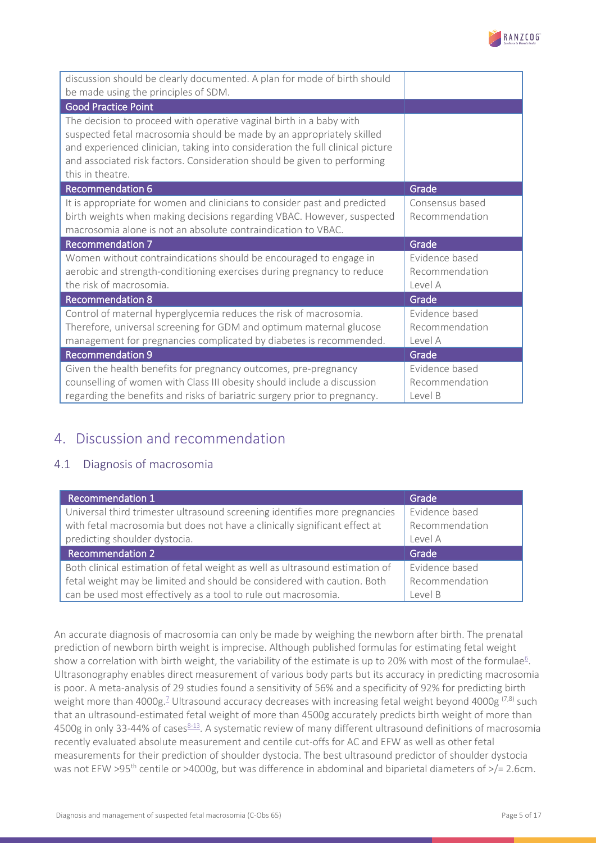

| discussion should be clearly documented. A plan for mode of birth should<br>be made using the principles of SDM.                                                                                                                                                                                                               |                                             |
|--------------------------------------------------------------------------------------------------------------------------------------------------------------------------------------------------------------------------------------------------------------------------------------------------------------------------------|---------------------------------------------|
| <b>Good Practice Point</b>                                                                                                                                                                                                                                                                                                     |                                             |
| The decision to proceed with operative vaginal birth in a baby with<br>suspected fetal macrosomia should be made by an appropriately skilled<br>and experienced clinician, taking into consideration the full clinical picture<br>and associated risk factors. Consideration should be given to performing<br>this in theatre. |                                             |
| <b>Recommendation 6</b>                                                                                                                                                                                                                                                                                                        | Grade                                       |
| It is appropriate for women and clinicians to consider past and predicted<br>birth weights when making decisions regarding VBAC. However, suspected<br>macrosomia alone is not an absolute contraindication to VBAC.                                                                                                           | Consensus based<br>Recommendation           |
|                                                                                                                                                                                                                                                                                                                                |                                             |
| <b>Recommendation 7</b>                                                                                                                                                                                                                                                                                                        | Grade                                       |
| Women without contraindications should be encouraged to engage in<br>aerobic and strength-conditioning exercises during pregnancy to reduce<br>the risk of macrosomia.                                                                                                                                                         | Evidence based<br>Recommendation<br>Level A |
| <b>Recommendation 8</b>                                                                                                                                                                                                                                                                                                        | Grade                                       |
| Control of maternal hyperglycemia reduces the risk of macrosomia.<br>Therefore, universal screening for GDM and optimum maternal glucose<br>management for pregnancies complicated by diabetes is recommended.                                                                                                                 | Evidence based<br>Recommendation<br>Level A |
| <b>Recommendation 9</b>                                                                                                                                                                                                                                                                                                        | Grade                                       |

# <span id="page-4-0"></span>4. Discussion and recommendation

### <span id="page-4-1"></span>4.1 Diagnosis of macrosomia

| <b>Recommendation 1</b>                                                      | Grade          |
|------------------------------------------------------------------------------|----------------|
| Universal third trimester ultrasound screening identifies more pregnancies   | Evidence based |
| with fetal macrosomia but does not have a clinically significant effect at   | Recommendation |
| predicting shoulder dystocia.                                                | Level A        |
| <b>Recommendation 2</b>                                                      | Grade          |
| Both clinical estimation of fetal weight as well as ultrasound estimation of | Evidence based |
| fetal weight may be limited and should be considered with caution. Both      | Recommendation |
| can be used most effectively as a tool to rule out macrosomia.               | Level B        |

An accurate diagnosis of macrosomia can only be made by weighing the newborn after birth. The prenatal prediction of newborn birth weight is imprecise. Although published formulas for estimating fetal weight show a correlation with birth weight, the variability of the estimate is up to 20% with most of the formulae<sup>6</sup>. Ultrasonography enables direct measurement of various body parts but its accuracy in predicting macrosomia is poor. A meta-analysis of 29 studies found a sensitivity of 56% and a specificity of 92% for predicting birth weight more than 4000g.<sup>7</sup> Ultrasound accuracy decreases with increasing fetal weight beyond 4000g <sup>(7,8)</sup> such that an ultrasound-estimated fetal weight of more than 4500g accurately predicts birth weight of more than 4500g in only 33-44% of cases<sup>8-13</sup>. A systematic review of many different ultrasound definitions of macrosomia recently evaluated absolute measurement and centile cut-offs for AC and EFW as well as other fetal measurements for their prediction of shoulder dystocia. The best ultrasound predictor of shoulder dystocia was not EFW >95<sup>th</sup> centile or >4000g, but was difference in abdominal and biparietal diameters of >/= 2.6cm.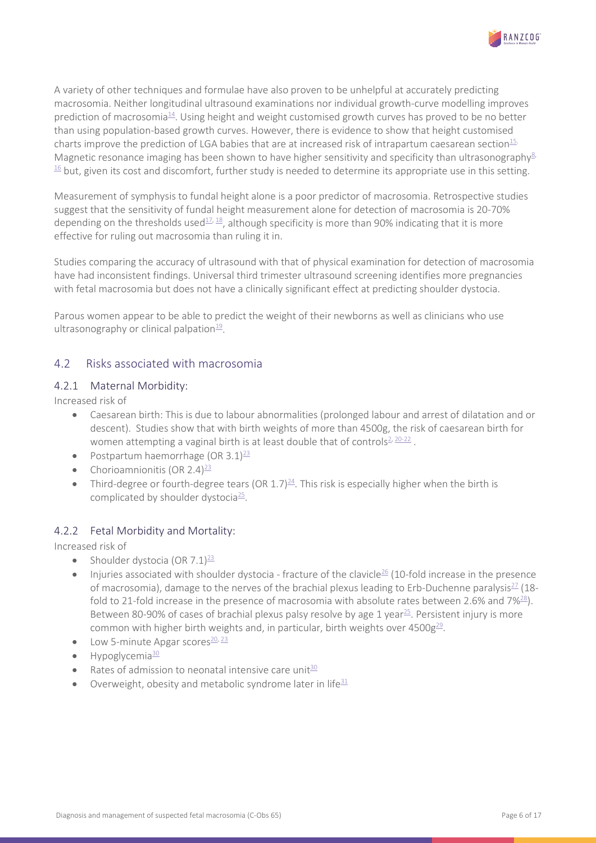

A variety of other techniques and formulae have also proven to be unhelpful at accurately predicting macrosomia. Neither longitudinal ultrasound examinations nor individual growth-curve modelling improves prediction of macrosomi[a14.](#page-11-0) Using height and weight customised growth curves has proved to be no better than using population-based growth curves. However, there is evidence to show that height customised charts improve the prediction of LGA babies that are at increased risk of intrapartum caesarean section<sup>15.</sup> Magnetic resonance imaging has been shown to have higher sensitivity and specificity than ultrasonography<sup>8</sup>  $16$  but, given its cost and discomfort, further study is needed to determine its appropriate use in this setting.

Measurement of symphysis to fundal height alone is a poor predictor of macrosomia. Retrospective studies suggest that the sensitivity of fundal height measurement alone for detection of macrosomia is 20-70% depending on the thresholds used<sup>17, 18</sup>, although specificity is more than 90% indicating that it is more effective for ruling out macrosomia than ruling it in.

Studies comparing the accuracy of ultrasound with that of physical examination for detection of macrosomia have had inconsistent findings. Universal third trimester ultrasound screening identifies more pregnancies with fetal macrosomia but does not have a clinically significant effect at predicting shoulder dystocia.

Parous women appear to be able to predict the weight of their newborns as well as clinicians who use ultrasonography or clinical palpation $\frac{19}{1}$ .

### <span id="page-5-0"></span>4.2 Risks associated with macrosomia

#### <span id="page-5-1"></span>4.2.1 Maternal Morbidity:

Increased risk of

- Caesarean birth: This is due to labour abnormalities (prolonged labour and arrest of dilatation and or descent). Studies show that with birth weights of more than 4500g, the risk of caesarean birth for women attempting a vaginal birth is at least double that of controls<sup>2</sup>,  $20-22$ .
- Postpartum haemorrhage (OR  $3.1$ )<sup>23</sup>
- Chorioamnionitis (OR 2.4) $23$
- Third-degree or fourth-degree tears (OR  $1.7$ )<sup>24</sup>. This risk is especially higher when the birth is complicated by shoulder dystocia<sup>25</sup>.

#### <span id="page-5-2"></span>4.2.2 Fetal Morbidity and Mortality:

Increased risk of

- Shoulder dystocia (OR  $7.1)^{23}$
- Injuries associated with shoulder dystocia fracture of the clavicle<sup>26</sup> (10-fold increase in the presence of macrosomia), damage to the nerves of the brachial plexus leading to Erb-Duchenne paralysis<sup>27</sup> (18fold to 21-fold increase in the presence of macrosomia with absolute rates between 2.6% and  $7\frac{28}{6}$ ). Between 80-90% of cases of brachial plexus palsy resolve by age 1 year<sup>25</sup>. Persistent injury is more common with higher birth weights and, in particular, birth weights over  $4500g^{29}$ .
- Low 5-minute Apgar scores $20$ ,  $23$
- $\bullet$  Hypoglycemia<sup>30</sup>
- Rates of admission to neonatal intensive care unit $30$
- Overweight, obesity and metabolic syndrome later in life $31$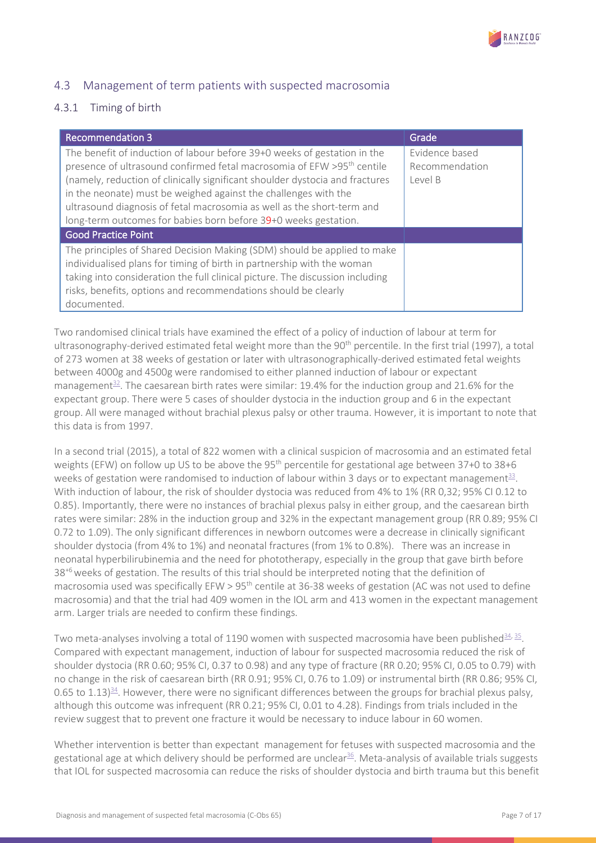

### <span id="page-6-0"></span>4.3 Management of term patients with suspected macrosomia

### <span id="page-6-1"></span>4.3.1 Timing of birth

| <b>Recommendation 3</b>                                                                                                                                                                                                                                                                                                                                                                                                                                        | Grade                                       |
|----------------------------------------------------------------------------------------------------------------------------------------------------------------------------------------------------------------------------------------------------------------------------------------------------------------------------------------------------------------------------------------------------------------------------------------------------------------|---------------------------------------------|
| The benefit of induction of labour before 39+0 weeks of gestation in the<br>presence of ultrasound confirmed fetal macrosomia of EFW >95 <sup>th</sup> centile<br>(namely, reduction of clinically significant shoulder dystocia and fractures<br>in the neonate) must be weighed against the challenges with the<br>ultrasound diagnosis of fetal macrosomia as well as the short-term and<br>long-term outcomes for babies born before 39+0 weeks gestation. | Evidence based<br>Recommendation<br>Level B |
| <b>Good Practice Point</b>                                                                                                                                                                                                                                                                                                                                                                                                                                     |                                             |
| The principles of Shared Decision Making (SDM) should be applied to make<br>individualised plans for timing of birth in partnership with the woman<br>taking into consideration the full clinical picture. The discussion including<br>risks, benefits, options and recommendations should be clearly<br>documented.                                                                                                                                           |                                             |

Two randomised clinical trials have examined the effect of a policy of induction of labour at term for ultrasonography-derived estimated fetal weight more than the  $90<sup>th</sup>$  percentile. In the first trial (1997), a total of 273 women at 38 weeks of gestation or later with ultrasonographically-derived estimated fetal weights between 4000g and 4500g were randomised to either planned induction of labour or expectant management $32$ . The caesarean birth rates were similar: 19.4% for the induction group and 21.6% for the expectant group. There were 5 cases of shoulder dystocia in the induction group and 6 in the expectant group. All were managed without brachial plexus palsy or other trauma. However, it is important to note that this data is from 1997.

In a second trial (2015), a total of 822 women with a clinical suspicion of macrosomia and an estimated fetal weights (EFW) on follow up US to be above the 95<sup>th</sup> percentile for gestational age between 37+0 to 38+6 weeks of gestation were randomised to induction of labour within 3 days or to expectant management $^{33}$ . With induction of labour, the risk of shoulder dystocia was reduced from 4% to 1% (RR 0,32; 95% CI 0.12 to 0.85). Importantly, there were no instances of brachial plexus palsy in either group, and the caesarean birth rates were similar: 28% in the induction group and 32% in the expectant management group (RR 0.89; 95% CI 0.72 to 1.09). The only significant differences in newborn outcomes were a decrease in clinically significant shoulder dystocia (from 4% to 1%) and neonatal fractures (from 1% to 0.8%). There was an increase in neonatal hyperbilirubinemia and the need for phototherapy, especially in the group that gave birth before  $38<sup>+6</sup>$  weeks of gestation. The results of this trial should be interpreted noting that the definition of macrosomia used was specifically EFW > 95<sup>th</sup> centile at 36-38 weeks of gestation (AC was not used to define macrosomia) and that the trial had 409 women in the IOL arm and 413 women in the expectant management arm. Larger trials are needed to confirm these findings.

Two meta-analyses involving a total of 1190 women with suspected macrosomia have been published $34$ ,  $35$ . Compared with expectant management, induction of labour for suspected macrosomia reduced the risk of shoulder dystocia (RR 0.60; 95% CI, 0.37 to 0.98) and any type of fracture (RR 0.20; 95% CI, 0.05 to 0.79) with no change in the risk of caesarean birth (RR 0.91; 95% CI, 0.76 to 1.09) or instrumental birth (RR 0.86; 95% CI, 0.65 to 1.13) $^{34}$ . However, there were no significant differences between the groups for brachial plexus palsy, although this outcome was infrequent (RR 0.21; 95% CI, 0.01 to 4.28). Findings from trials included in the review suggest that to prevent one fracture it would be necessary to induce labour in 60 women.

Whether intervention is better than expectant management for fetuses with suspected macrosomia and the gestational age at which delivery should be performed are unclear $36$ . Meta-analysis of available trials suggests that IOL for suspected macrosomia can reduce the risks of shoulder dystocia and birth trauma but this benefit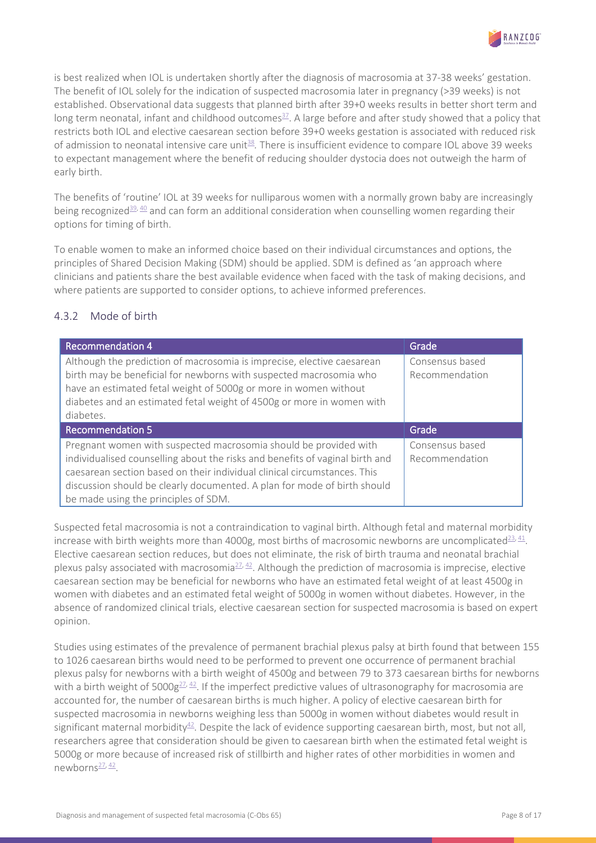

is best realized when IOL is undertaken shortly after the diagnosis of macrosomia at 37-38 weeks' gestation. The benefit of IOL solely for the indication of suspected macrosomia later in pregnancy (>39 weeks) is not established. Observational data suggests that planned birth after 39+0 weeks results in better short term and long term neonatal, infant and childhood outcomes  $\frac{37}{2}$ . A large before and after study showed that a policy that restricts both IOL and elective caesarean section before 39+0 weeks gestation is associated with reduced risk of admission to neonatal intensive care unit<sup>38</sup>. There is insufficient evidence to compare IOL above 39 weeks to expectant management where the benefit of reducing shoulder dystocia does not outweigh the harm of early birth.

The benefits of 'routine' IOL at 39 weeks for nulliparous women with a normally grown baby are increasingly being recognized<sup>39, [40](#page-12-4)</sup> and can form an additional consideration when counselling women regarding their options for timing of birth.

To enable women to make an informed choice based on their individual circumstances and options, the principles of Shared Decision Making (SDM) should be applied. SDM is defined as 'an approach where clinicians and patients share the best available evidence when faced with the task of making decisions, and where patients are supported to consider options, to achieve informed preferences.

### <span id="page-7-0"></span>4.3.2 Mode of birth

| <b>Recommendation 4</b>                                                                                                                                                                                                                                                                                                                          | Grade                             |
|--------------------------------------------------------------------------------------------------------------------------------------------------------------------------------------------------------------------------------------------------------------------------------------------------------------------------------------------------|-----------------------------------|
| Although the prediction of macrosomia is imprecise, elective caesarean<br>birth may be beneficial for newborns with suspected macrosomia who<br>have an estimated fetal weight of 5000g or more in women without<br>diabetes and an estimated fetal weight of 4500g or more in women with<br>diabetes.                                           | Consensus based<br>Recommendation |
| <b>Recommendation 5</b>                                                                                                                                                                                                                                                                                                                          | Grade                             |
| Pregnant women with suspected macrosomia should be provided with<br>individualised counselling about the risks and benefits of vaginal birth and<br>caesarean section based on their individual clinical circumstances. This<br>discussion should be clearly documented. A plan for mode of birth should<br>be made using the principles of SDM. | Consensus based<br>Recommendation |

Suspected fetal macrosomia is not a contraindication to vaginal birth. Although fetal and maternal morbidity increase with birth weights more than 4000g, most births of macrosomic newborns are uncomplicated<sup>23, 41</sup>. Elective caesarean section reduces, but does not eliminate, the risk of birth trauma and neonatal brachial plexus palsy associated with macrosomia<sup>27, 42</sup>. Although the prediction of macrosomia is imprecise, elective caesarean section may be beneficial for newborns who have an estimated fetal weight of at least 4500g in women with diabetes and an estimated fetal weight of 5000g in women without diabetes. However, in the absence of randomized clinical trials, elective caesarean section for suspected macrosomia is based on expert opinion.

Studies using estimates of the prevalence of permanent brachial plexus palsy at birth found that between 155 to 1026 caesarean births would need to be performed to prevent one occurrence of permanent brachial plexus palsy for newborns with a birth weight of 4500g and between 79 to 373 caesarean births for newborns with a birth weight of 5000g<sup>27, 42</sup>. If the imperfect predictive values of ultrasonography for macrosomia are accounted for, the number of caesarean births is much higher. A policy of elective caesarean birth for suspected macrosomia in newborns weighing less than 5000g in women without diabetes would result in significant maternal morbidity<sup>42</sup>. Despite the lack of evidence supporting caesarean birth, most, but not all, researchers agree that consideration should be given to caesarean birth when the estimated fetal weight is 5000g or more because of increased risk of stillbirth and higher rates of other morbidities in women and newborns $27.42$ .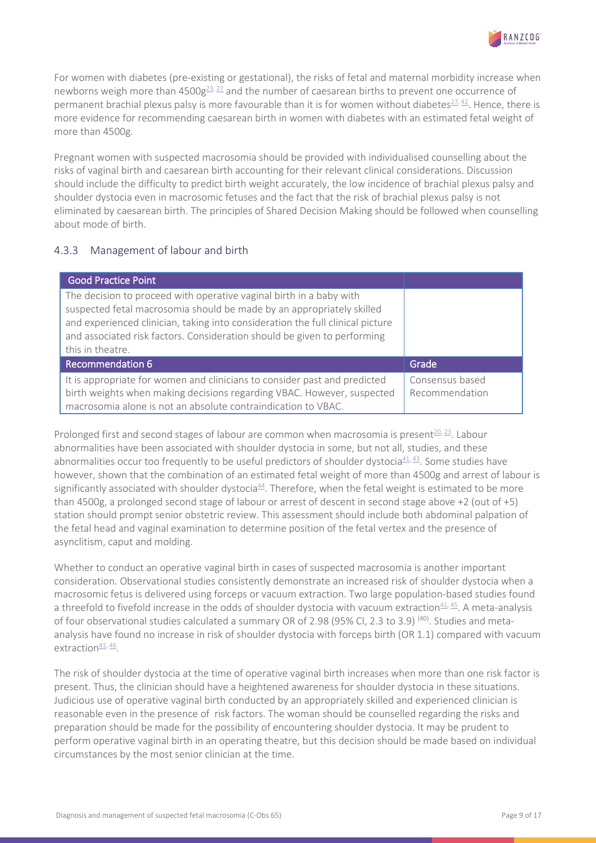

For women with diabetes (pre-existing or gestational), the risks of fetal and maternal morbidity increase when newborns weigh more than  $4500g^{23}$ ,  $27$  and the number of caesarean births to prevent one occurrence of permanent brachial plexus palsy is more favourable than it is for women without diabetes $^{27}$ ,  $^{42}$ . Hence, there is more evidence for recommending caesarean birth in women with diabetes with an estimated fetal weight of more than 4500g.

Pregnant women with suspected macrosomia should be provided with individualised counselling about the risks of vaginal birth and caesarean birth accounting for their relevant clinical considerations. Discussion should include the difficulty to predict birth weight accurately, the low incidence of brachial plexus palsy and shoulder dystocia even in macrosomic fetuses and the fact that the risk of brachial plexus palsy is not eliminated by caesarean birth. The principles of Shared Decision Making should be followed when counselling about mode of birth.

#### <span id="page-8-0"></span>4.3.3 Management of labour and birth

| <b>Good Practice Point</b>                                                                                                                                                                                                                                                                                                     |                                   |
|--------------------------------------------------------------------------------------------------------------------------------------------------------------------------------------------------------------------------------------------------------------------------------------------------------------------------------|-----------------------------------|
| The decision to proceed with operative vaginal birth in a baby with<br>suspected fetal macrosomia should be made by an appropriately skilled<br>and experienced clinician, taking into consideration the full clinical picture<br>and associated risk factors. Consideration should be given to performing<br>this in theatre. |                                   |
| <b>Recommendation 6</b>                                                                                                                                                                                                                                                                                                        | Grade                             |
| It is appropriate for women and clinicians to consider past and predicted<br>birth weights when making decisions regarding VBAC. However, suspected<br>macrosomia alone is not an absolute contraindication to VBAC.                                                                                                           | Consensus based<br>Recommendation |

Prolonged first and second stages of labour are common when macrosomia is present<sup>20, 23</sup>. Labour abnormalities have been associated with shoulder dystocia in some, but not all, studies, and these abnormalities occur too frequently to be useful predictors of shoulder dystocia $41, 43$ . Some studies have however, shown that the combination of an estimated fetal weight of more than 4500g and arrest of labour is significantly associated with shoulder dystocia<sup>44</sup>. Therefore, when the fetal weight is estimated to be more than 4500g, a prolonged second stage of labour or arrest of descent in second stage above +2 (out of +5) station should prompt senior obstetric review. This assessment should include both abdominal palpation of the fetal head and vaginal examination to determine position of the fetal vertex and the presence of asynclitism, caput and molding.

Whether to conduct an operative vaginal birth in cases of suspected macrosomia is another important consideration. Observational studies consistently demonstrate an increased risk of shoulder dystocia when a macrosomic fetus is delivered using forceps or vacuum extraction. Two large population-based studies found a threefold to fivefold increase in the odds of shoulder dystocia with vacuum extraction<sup>41, 45</sup>. A meta-analysis of four observational studies calculated a summary OR of 2.98 (95% CI, 2.3 to 3.9) (40). Studies and metaanalysis have found no increase in risk of shoulder dystocia with forceps birth (OR 1.1) compared with vacuum  $extraction \frac{41}{46}$ 

The risk of shoulder dystocia at the time of operative vaginal birth increases when more than one risk factor is present. Thus, the clinician should have a heightened awareness for shoulder dystocia in these situations. Judicious use of operative vaginal birth conducted by an appropriately skilled and experienced clinician is reasonable even in the presence of risk factors. The woman should be counselled regarding the risks and preparation should be made for the possibility of encountering shoulder dystocia. It may be prudent to perform operative vaginal birth in an operating theatre, but this decision should be made based on individual circumstances by the most senior clinician at the time.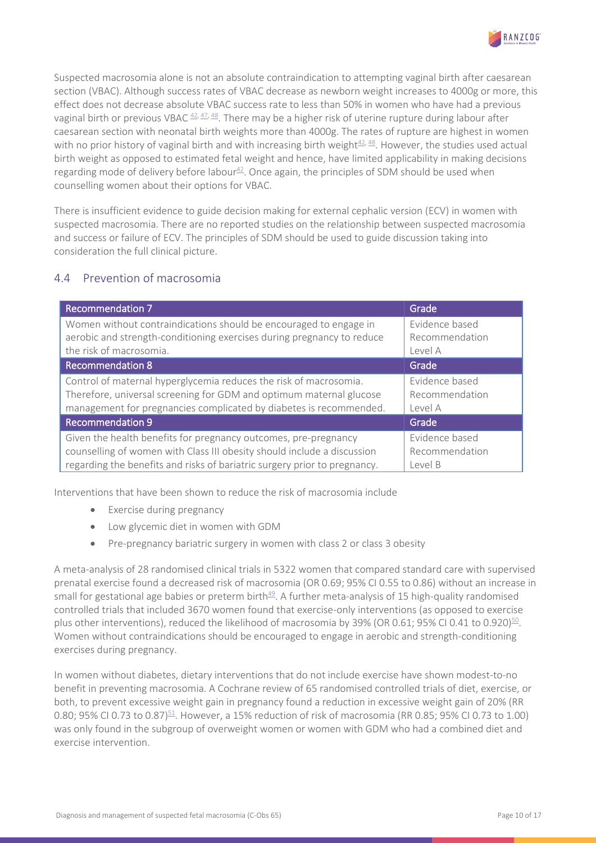

Suspected macrosomia alone is not an absolute contraindication to attempting vaginal birth after caesarean section (VBAC). Although success rates of VBAC decrease as newborn weight increases to 4000g or more, this effect does not decrease absolute VBAC success rate to less than 50% in women who have had a previous vaginal birth or previous VBAC [42,](#page-12-6) [47,](#page-12-11) [48.](#page-12-12) There may be a higher risk of uterine rupture during labour after caesarean section with neonatal birth weights more than 4000g. The rates of rupture are highest in women with no prior history of vaginal birth and with increasing birth weight $42,48$ . However, the studies used actual birth weight as opposed to estimated fetal weight and hence, have limited applicability in making decisions regarding mode of delivery before labour<sup>42</sup>. Once again, the principles of SDM should be used when counselling women about their options for VBAC.

There is insufficient evidence to guide decision making for external cephalic version (ECV) in women with suspected macrosomia. There are no reported studies on the relationship between suspected macrosomia and success or failure of ECV. The principles of SDM should be used to guide discussion taking into consideration the full clinical picture.

### <span id="page-9-0"></span>4.4 Prevention of macrosomia

| <b>Recommendation 7</b>                                                   | Grade          |
|---------------------------------------------------------------------------|----------------|
| Women without contraindications should be encouraged to engage in         | Evidence based |
| aerobic and strength-conditioning exercises during pregnancy to reduce    | Recommendation |
| the risk of macrosomia.                                                   | Level A        |
| <b>Recommendation 8</b>                                                   | Grade          |
| Control of maternal hyperglycemia reduces the risk of macrosomia.         | Evidence based |
| Therefore, universal screening for GDM and optimum maternal glucose       | Recommendation |
| management for pregnancies complicated by diabetes is recommended.        | Level A        |
| <b>Recommendation 9</b>                                                   | Grade          |
| Given the health benefits for pregnancy outcomes, pre-pregnancy           | Evidence based |
| counselling of women with Class III obesity should include a discussion   | Recommendation |
| regarding the benefits and risks of bariatric surgery prior to pregnancy. | Level B        |

Interventions that have been shown to reduce the risk of macrosomia include

- Exercise during pregnancy
- Low glycemic diet in women with GDM
- Pre-pregnancy bariatric surgery in women with class 2 or class 3 obesity

A meta-analysis of 28 randomised clinical trials in 5322 women that compared standard care with supervised prenatal exercise found a decreased risk of macrosomia (OR 0.69; 95% CI 0.55 to 0.86) without an increase in small for gestational age babies or preterm birth<sup>49</sup>. A further meta-analysis of 15 high-quality randomised controlled trials that included 3670 women found that exercise-only interventions (as opposed to exercise plus other interventions), reduced the likelihood of macrosomia by 39% (OR 0.61; 95% CI 0.41 to 0.920)<sup>50</sup>. Women without contraindications should be encouraged to engage in aerobic and strength-conditioning exercises during pregnancy.

In women without diabetes, dietary interventions that do not include exercise have shown modest-to-no benefit in preventing macrosomia. A Cochrane review of 65 randomised controlled trials of diet, exercise, or both, to prevent excessive weight gain in pregnancy found a reduction in excessive weight gain of 20% (RR 0.80; 95% CI 0.73 to 0.87)<sup>51</sup>. However, a 15% reduction of risk of macrosomia (RR 0.85; 95% CI 0.73 to 1.00) was only found in the subgroup of overweight women or women with GDM who had a combined diet and exercise intervention.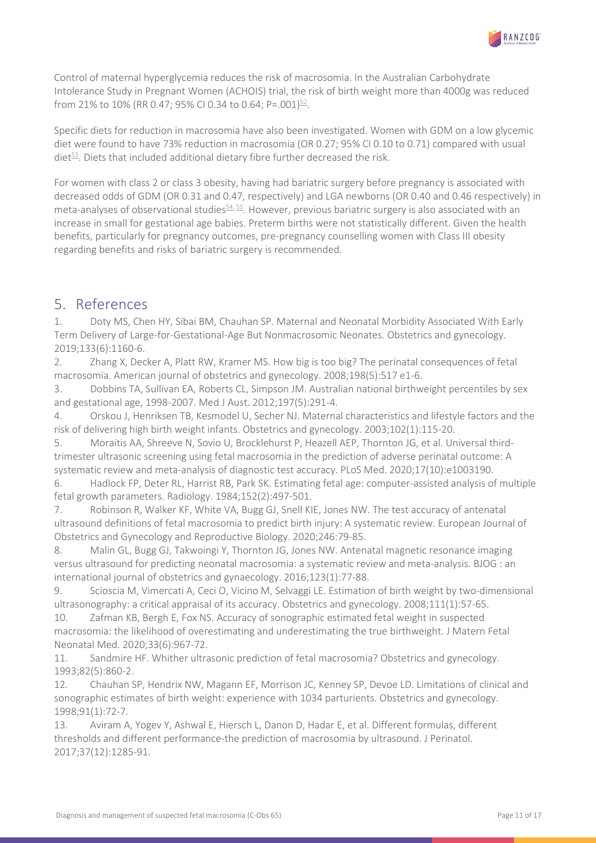

Control of maternal hyperglycemia reduces the risk of macrosomia. In the Australian Carbohydrate Intolerance Study in Pregnant Women (ACHOIS) trial, the risk of birth weight more than 4000g was reduced from 21% to 10% (RR 0.47; 95% CI 0.34 to 0.64; P=.001)<sup>52</sup>.

Specific diets for reduction in macrosomia have also been investigated. Women with GDM on a low glycemic diet were found to have 73% reduction in macrosomia (OR 0.27; 95% CI 0.10 to 0.71) compared with usual  $\frac{1}{2}$ . Diets that included additional dietary fibre further decreased the risk.

For women with class 2 or class 3 obesity, having had bariatric surgery before pregnancy is associated with decreased odds of GDM (OR 0.31 and 0.47, respectively) and LGA newborns (OR 0.40 and 0.46 respectively) in meta-analyses of observational studies $54$ ,  $55$ . However, previous bariatric surgery is also associated with an increase in small for gestational age babies. Preterm births were not statistically different. Given the health benefits, particularly for pregnancy outcomes, pre-pregnancy counselling women with Class III obesity regarding benefits and risks of bariatric surgery is recommended.

# <span id="page-10-0"></span>5. References

<span id="page-10-1"></span>1. Doty MS, Chen HY, Sibai BM, Chauhan SP. Maternal and Neonatal Morbidity Associated With Early Term Delivery of Large-for-Gestational-Age But Nonmacrosomic Neonates. Obstetrics and gynecology. 2019;133(6):1160-6.

<span id="page-10-2"></span>2. Zhang X, Decker A, Platt RW, Kramer MS. How big is too big? The perinatal consequences of fetal macrosomia. American journal of obstetrics and gynecology. 2008;198(5):517 e1-6.

<span id="page-10-3"></span>3. Dobbins TA, Sullivan EA, Roberts CL, Simpson JM. Australian national birthweight percentiles by sex and gestational age, 1998-2007. Med J Aust. 2012;197(5):291-4.

<span id="page-10-4"></span>4. Orskou J, Henriksen TB, Kesmodel U, Secher NJ. Maternal characteristics and lifestyle factors and the risk of delivering high birth weight infants. Obstetrics and gynecology. 2003;102(1):115-20.

<span id="page-10-5"></span>5. Moraitis AA, Shreeve N, Sovio U, Brocklehurst P, Heazell AEP, Thornton JG, et al. Universal thirdtrimester ultrasonic screening using fetal macrosomia in the prediction of adverse perinatal outcome: A systematic review and meta-analysis of diagnostic test accuracy. PLoS Med. 2020;17(10):e1003190.

<span id="page-10-6"></span>6. Hadlock FP, Deter RL, Harrist RB, Park SK. Estimating fetal age: computer-assisted analysis of multiple fetal growth parameters. Radiology. 1984;152(2):497-501.

<span id="page-10-7"></span>7. Robinson R, Walker KF, White VA, Bugg GJ, Snell KIE, Jones NW. The test accuracy of antenatal ultrasound definitions of fetal macrosomia to predict birth injury: A systematic review. European Journal of Obstetrics and Gynecology and Reproductive Biology. 2020;246:79-85.

<span id="page-10-8"></span>8. Malin GL, Bugg GJ, Takwoingi Y, Thornton JG, Jones NW. Antenatal magnetic resonance imaging versus ultrasound for predicting neonatal macrosomia: a systematic review and meta-analysis. BJOG : an international journal of obstetrics and gynaecology. 2016;123(1):77-88.

9. Scioscia M, Vimercati A, Ceci O, Vicino M, Selvaggi LE. Estimation of birth weight by two-dimensional ultrasonography: a critical appraisal of its accuracy. Obstetrics and gynecology. 2008;111(1):57-65.

10. Zafman KB, Bergh E, Fox NS. Accuracy of sonographic estimated fetal weight in suspected macrosomia: the likelihood of overestimating and underestimating the true birthweight. J Matern Fetal Neonatal Med. 2020;33(6):967-72.

11. Sandmire HF. Whither ultrasonic prediction of fetal macrosomia? Obstetrics and gynecology. 1993;82(5):860-2.

12. Chauhan SP, Hendrix NW, Magann EF, Morrison JC, Kenney SP, Devoe LD. Limitations of clinical and sonographic estimates of birth weight: experience with 1034 parturients. Obstetrics and gynecology. 1998;91(1):72-7.

13. Aviram A, Yogev Y, Ashwal E, Hiersch L, Danon D, Hadar E, et al. Different formulas, different thresholds and different performance-the prediction of macrosomia by ultrasound. J Perinatol. 2017;37(12):1285-91.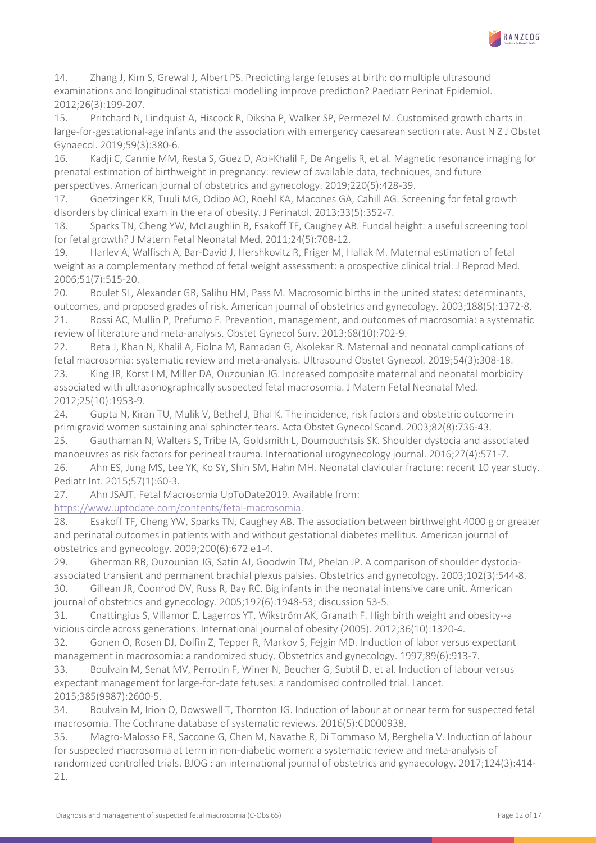

<span id="page-11-0"></span>14. Zhang J, Kim S, Grewal J, Albert PS. Predicting large fetuses at birth: do multiple ultrasound examinations and longitudinal statistical modelling improve prediction? Paediatr Perinat Epidemiol. 2012;26(3):199-207.

<span id="page-11-1"></span>15. Pritchard N, Lindquist A, Hiscock R, Diksha P, Walker SP, Permezel M. Customised growth charts in large-for-gestational-age infants and the association with emergency caesarean section rate. Aust N Z J Obstet Gynaecol. 2019;59(3):380-6.

<span id="page-11-2"></span>16. Kadji C, Cannie MM, Resta S, Guez D, Abi-Khalil F, De Angelis R, et al. Magnetic resonance imaging for prenatal estimation of birthweight in pregnancy: review of available data, techniques, and future perspectives. American journal of obstetrics and gynecology. 2019;220(5):428-39.

<span id="page-11-3"></span>17. Goetzinger KR, Tuuli MG, Odibo AO, Roehl KA, Macones GA, Cahill AG. Screening for fetal growth disorders by clinical exam in the era of obesity. J Perinatol. 2013;33(5):352-7.

<span id="page-11-4"></span>18. Sparks TN, Cheng YW, McLaughlin B, Esakoff TF, Caughey AB. Fundal height: a useful screening tool for fetal growth? J Matern Fetal Neonatal Med. 2011;24(5):708-12.

<span id="page-11-5"></span>19. Harlev A, Walfisch A, Bar-David J, Hershkovitz R, Friger M, Hallak M. Maternal estimation of fetal weight as a complementary method of fetal weight assessment: a prospective clinical trial. J Reprod Med. 2006;51(7):515-20.

<span id="page-11-6"></span>20. Boulet SL, Alexander GR, Salihu HM, Pass M. Macrosomic births in the united states: determinants, outcomes, and proposed grades of risk. American journal of obstetrics and gynecology. 2003;188(5):1372-8. 21. Rossi AC, Mullin P, Prefumo F. Prevention, management, and outcomes of macrosomia: a systematic

review of literature and meta-analysis. Obstet Gynecol Surv. 2013;68(10):702-9.

22. Beta J, Khan N, Khalil A, Fiolna M, Ramadan G, Akolekar R. Maternal and neonatal complications of fetal macrosomia: systematic review and meta-analysis. Ultrasound Obstet Gynecol. 2019;54(3):308-18.

<span id="page-11-7"></span>23. King JR, Korst LM, Miller DA, Ouzounian JG. Increased composite maternal and neonatal morbidity associated with ultrasonographically suspected fetal macrosomia. J Matern Fetal Neonatal Med. 2012;25(10):1953-9.

<span id="page-11-8"></span>24. Gupta N, Kiran TU, Mulik V, Bethel J, Bhal K. The incidence, risk factors and obstetric outcome in primigravid women sustaining anal sphincter tears. Acta Obstet Gynecol Scand. 2003;82(8):736-43. 25. Gauthaman N, Walters S, Tribe IA, Goldsmith L, Doumouchtsis SK. Shoulder dystocia and associated

<span id="page-11-10"></span><span id="page-11-9"></span>manoeuvres as risk factors for perineal trauma. International urogynecology journal. 2016;27(4):571-7. 26. Ahn ES, Jung MS, Lee YK, Ko SY, Shin SM, Hahn MH. Neonatal clavicular fracture: recent 10 year study.

<span id="page-11-11"></span>Pediatr Int. 2015;57(1):60-3. 27. Ahn JSAJT. Fetal Macrosomia UpToDate2019. Available from:

[https://www.uptodate.com/contents/fetal-macrosomia.](https://www.uptodate.com/contents/fetal-macrosomia)

<span id="page-11-12"></span>28. Esakoff TF, Cheng YW, Sparks TN, Caughey AB. The association between birthweight 4000 g or greater and perinatal outcomes in patients with and without gestational diabetes mellitus. American journal of obstetrics and gynecology. 2009;200(6):672 e1-4.

<span id="page-11-13"></span>29. Gherman RB, Ouzounian JG, Satin AJ, Goodwin TM, Phelan JP. A comparison of shoulder dystociaassociated transient and permanent brachial plexus palsies. Obstetrics and gynecology. 2003;102(3):544-8.

<span id="page-11-14"></span>30. Gillean JR, Coonrod DV, Russ R, Bay RC. Big infants in the neonatal intensive care unit. American journal of obstetrics and gynecology. 2005;192(6):1948-53; discussion 53-5.

<span id="page-11-15"></span>31. Cnattingius S, Villamor E, Lagerros YT, Wikström AK, Granath F. High birth weight and obesity--a vicious circle across generations. International journal of obesity (2005). 2012;36(10):1320-4.

<span id="page-11-16"></span>32. Gonen O, Rosen DJ, Dolfin Z, Tepper R, Markov S, Fejgin MD. Induction of labor versus expectant management in macrosomia: a randomized study. Obstetrics and gynecology. 1997;89(6):913-7.

<span id="page-11-17"></span>33. Boulvain M, Senat MV, Perrotin F, Winer N, Beucher G, Subtil D, et al. Induction of labour versus expectant management for large-for-date fetuses: a randomised controlled trial. Lancet. 2015;385(9987):2600-5.

<span id="page-11-18"></span>34. Boulvain M, Irion O, Dowswell T, Thornton JG. Induction of labour at or near term for suspected fetal macrosomia. The Cochrane database of systematic reviews. 2016(5):CD000938.

<span id="page-11-19"></span>35. Magro-Malosso ER, Saccone G, Chen M, Navathe R, Di Tommaso M, Berghella V. Induction of labour for suspected macrosomia at term in non-diabetic women: a systematic review and meta-analysis of randomized controlled trials. BJOG : an international journal of obstetrics and gynaecology. 2017;124(3):414- 21.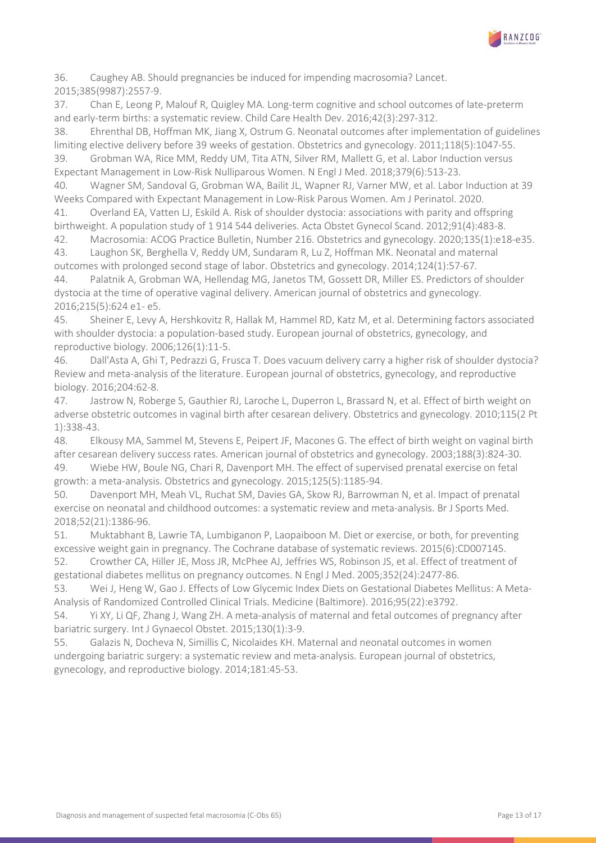

<span id="page-12-0"></span>36. Caughey AB. Should pregnancies be induced for impending macrosomia? Lancet. 2015;385(9987):2557-9.

<span id="page-12-1"></span>37. Chan E, Leong P, Malouf R, Quigley MA. Long-term cognitive and school outcomes of late-preterm and early-term births: a systematic review. Child Care Health Dev. 2016;42(3):297-312.

<span id="page-12-2"></span>38. Ehrenthal DB, Hoffman MK, Jiang X, Ostrum G. Neonatal outcomes after implementation of guidelines limiting elective delivery before 39 weeks of gestation. Obstetrics and gynecology. 2011;118(5):1047-55. 39. Grobman WA, Rice MM, Reddy UM, Tita ATN, Silver RM, Mallett G, et al. Labor Induction versus

<span id="page-12-3"></span>Expectant Management in Low-Risk Nulliparous Women. N Engl J Med. 2018;379(6):513-23.

<span id="page-12-4"></span>40. Wagner SM, Sandoval G, Grobman WA, Bailit JL, Wapner RJ, Varner MW, et al. Labor Induction at 39 Weeks Compared with Expectant Management in Low-Risk Parous Women. Am J Perinatol. 2020.

<span id="page-12-5"></span>41. Overland EA, Vatten LJ, Eskild A. Risk of shoulder dystocia: associations with parity and offspring birthweight. A population study of 1 914 544 deliveries. Acta Obstet Gynecol Scand. 2012;91(4):483-8.

<span id="page-12-6"></span>42. Macrosomia: ACOG Practice Bulletin, Number 216. Obstetrics and gynecology. 2020;135(1):e18-e35.

<span id="page-12-7"></span>43. Laughon SK, Berghella V, Reddy UM, Sundaram R, Lu Z, Hoffman MK. Neonatal and maternal outcomes with prolonged second stage of labor. Obstetrics and gynecology. 2014;124(1):57-67.

<span id="page-12-8"></span>44. Palatnik A, Grobman WA, Hellendag MG, Janetos TM, Gossett DR, Miller ES. Predictors of shoulder dystocia at the time of operative vaginal delivery. American journal of obstetrics and gynecology. 2016;215(5):624 e1- e5.

<span id="page-12-9"></span>45. Sheiner E, Levy A, Hershkovitz R, Hallak M, Hammel RD, Katz M, et al. Determining factors associated with shoulder dystocia: a population-based study. European journal of obstetrics, gynecology, and reproductive biology. 2006;126(1):11-5.

<span id="page-12-10"></span>46. Dall'Asta A, Ghi T, Pedrazzi G, Frusca T. Does vacuum delivery carry a higher risk of shoulder dystocia? Review and meta-analysis of the literature. European journal of obstetrics, gynecology, and reproductive biology. 2016;204:62-8.

<span id="page-12-11"></span>47. Jastrow N, Roberge S, Gauthier RJ, Laroche L, Duperron L, Brassard N, et al. Effect of birth weight on adverse obstetric outcomes in vaginal birth after cesarean delivery. Obstetrics and gynecology. 2010;115(2 Pt 1):338-43.

<span id="page-12-12"></span>48. Elkousy MA, Sammel M, Stevens E, Peipert JF, Macones G. The effect of birth weight on vaginal birth after cesarean delivery success rates. American journal of obstetrics and gynecology. 2003;188(3):824-30. 49. Wiebe HW, Boule NG, Chari R, Davenport MH. The effect of supervised prenatal exercise on fetal

<span id="page-12-14"></span><span id="page-12-13"></span>growth: a meta-analysis. Obstetrics and gynecology. 2015;125(5):1185-94. 50. Davenport MH, Meah VL, Ruchat SM, Davies GA, Skow RJ, Barrowman N, et al. Impact of prenatal exercise on neonatal and childhood outcomes: a systematic review and meta-analysis. Br J Sports Med. 2018;52(21):1386-96.

<span id="page-12-15"></span>51. Muktabhant B, Lawrie TA, Lumbiganon P, Laopaiboon M. Diet or exercise, or both, for preventing excessive weight gain in pregnancy. The Cochrane database of systematic reviews. 2015(6):CD007145.

<span id="page-12-16"></span>52. Crowther CA, Hiller JE, Moss JR, McPhee AJ, Jeffries WS, Robinson JS, et al. Effect of treatment of gestational diabetes mellitus on pregnancy outcomes. N Engl J Med. 2005;352(24):2477-86.

<span id="page-12-17"></span>53. Wei J, Heng W, Gao J. Effects of Low Glycemic Index Diets on Gestational Diabetes Mellitus: A Meta-Analysis of Randomized Controlled Clinical Trials. Medicine (Baltimore). 2016;95(22):e3792.

<span id="page-12-18"></span>54. Yi XY, Li QF, Zhang J, Wang ZH. A meta-analysis of maternal and fetal outcomes of pregnancy after bariatric surgery. Int J Gynaecol Obstet. 2015;130(1):3-9.

<span id="page-12-19"></span>55. Galazis N, Docheva N, Simillis C, Nicolaides KH. Maternal and neonatal outcomes in women undergoing bariatric surgery: a systematic review and meta-analysis. European journal of obstetrics, gynecology, and reproductive biology. 2014;181:45-53.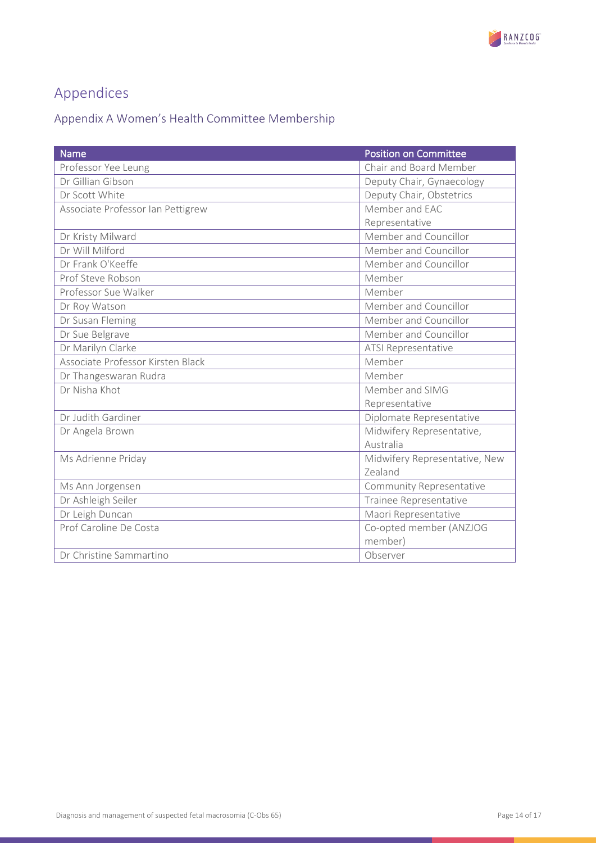

# <span id="page-13-0"></span>Appendices

# <span id="page-13-1"></span>Appendix A Women's Health Committee Membership

<span id="page-13-2"></span>

| <b>Name</b>                       | <b>Position on Committee</b>    |
|-----------------------------------|---------------------------------|
| Professor Yee Leung               | Chair and Board Member          |
| Dr Gillian Gibson                 | Deputy Chair, Gynaecology       |
| Dr Scott White                    | Deputy Chair, Obstetrics        |
| Associate Professor Ian Pettigrew | Member and EAC                  |
|                                   | Representative                  |
| Dr Kristy Milward                 | Member and Councillor           |
| Dr Will Milford                   | Member and Councillor           |
| Dr Frank O'Keeffe                 | Member and Councillor           |
| Prof Steve Robson                 | Member                          |
| Professor Sue Walker              | Member                          |
| Dr Roy Watson                     | Member and Councillor           |
| Dr Susan Fleming                  | Member and Councillor           |
| Dr Sue Belgrave                   | Member and Councillor           |
| Dr Marilyn Clarke                 | <b>ATSI Representative</b>      |
| Associate Professor Kirsten Black | Member                          |
| Dr Thangeswaran Rudra             | Member                          |
| Dr Nisha Khot                     | Member and SIMG                 |
|                                   | Representative                  |
| Dr Judith Gardiner                | Diplomate Representative        |
| Dr Angela Brown                   | Midwifery Representative,       |
|                                   | Australia                       |
| Ms Adrienne Priday                | Midwifery Representative, New   |
|                                   | Zealand                         |
| Ms Ann Jorgensen                  | <b>Community Representative</b> |
| Dr Ashleigh Seiler                | Trainee Representative          |
| Dr Leigh Duncan                   | Maori Representative            |
| Prof Caroline De Costa            | Co-opted member (ANZJOG         |
|                                   | member)                         |
| Dr Christine Sammartino           | Observer                        |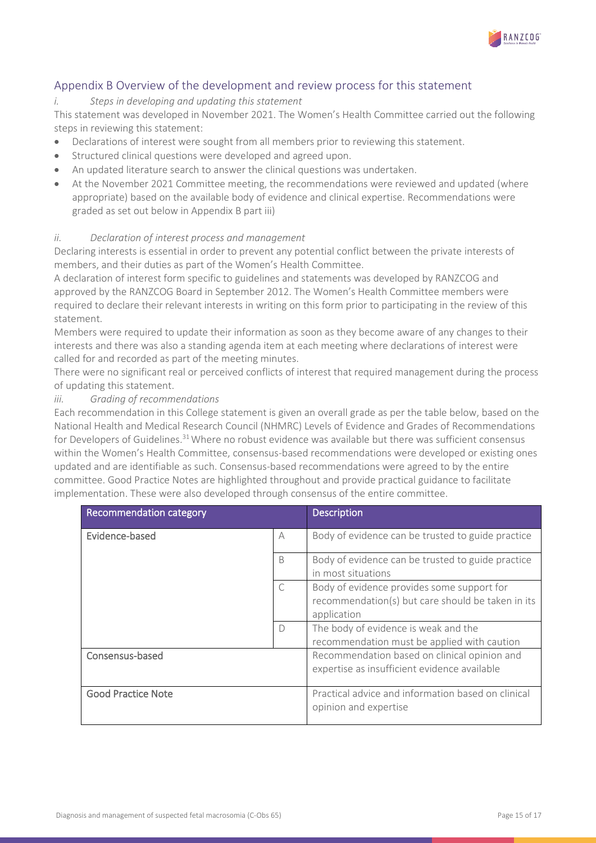

### Appendix B Overview of the development and review process for this statement

*i. Steps in developing and updating this statement*

This statement was developed in November 2021. The Women's Health Committee carried out the following steps in reviewing this statement:

- Declarations of interest were sought from all members prior to reviewing this statement.
- Structured clinical questions were developed and agreed upon.
- An updated literature search to answer the clinical questions was undertaken.
- At the November 2021 Committee meeting, the recommendations were reviewed and updated (where appropriate) based on the available body of evidence and clinical expertise. Recommendations were graded as set out below in Appendix B part iii)

#### *ii. Declaration of interest process and management*

Declaring interests is essential in order to prevent any potential conflict between the private interests of members, and their duties as part of the Women's Health Committee.

A declaration of interest form specific to guidelines and statements was developed by RANZCOG and approved by the RANZCOG Board in September 2012. The Women's Health Committee members were required to declare their relevant interests in writing on this form prior to participating in the review of this statement.

Members were required to update their information as soon as they become aware of any changes to their interests and there was also a standing agenda item at each meeting where declarations of interest were called for and recorded as part of the meeting minutes.

There were no significant real or perceived conflicts of interest that required management during the process of updating this statement.

#### *iii. Grading of recommendations*

Each recommendation in this College statement is given an overall grade as per the table below, based on the National Health and Medical Research Council (NHMRC) Levels of Evidence and Grades of Recommendations for Developers of Guidelines.<sup>31</sup> Where no robust evidence was available but there was sufficient consensus within the Women's Health Committee, consensus-based recommendations were developed or existing ones updated and are identifiable as such. Consensus-based recommendations were agreed to by the entire committee. Good Practice Notes are highlighted throughout and provide practical guidance to facilitate implementation. These were also developed through consensus of the entire committee.

<span id="page-14-0"></span>

| <b>Recommendation category</b> |           | <b>Description</b>                                                                                             |
|--------------------------------|-----------|----------------------------------------------------------------------------------------------------------------|
| Evidence-based                 | A         | Body of evidence can be trusted to guide practice                                                              |
|                                | B         | Body of evidence can be trusted to guide practice<br>in most situations                                        |
|                                | $\subset$ | Body of evidence provides some support for<br>recommendation(s) but care should be taken in its<br>application |
|                                | $\bigcap$ | The body of evidence is weak and the<br>recommendation must be applied with caution                            |
| Consensus-based                |           | Recommendation based on clinical opinion and<br>expertise as insufficient evidence available                   |
| <b>Good Practice Note</b>      |           | Practical advice and information based on clinical<br>opinion and expertise                                    |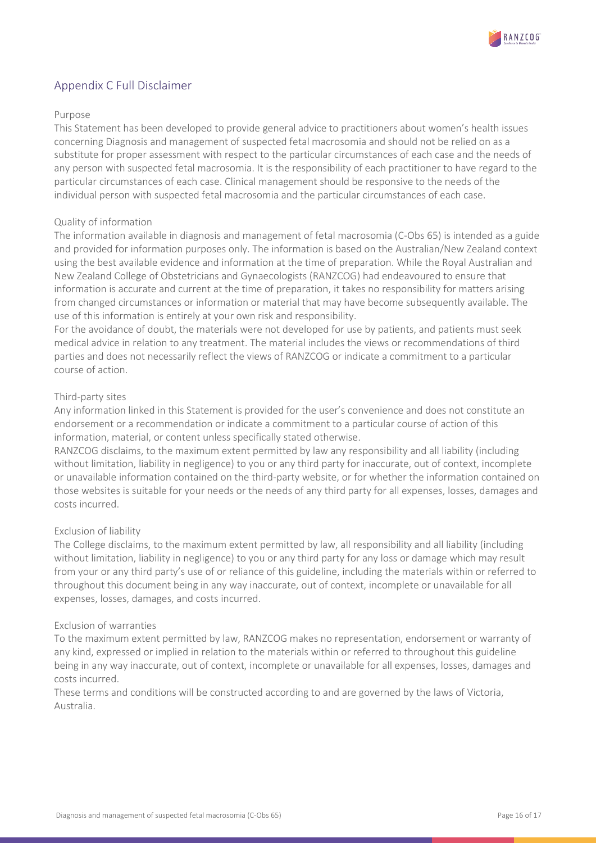

## Appendix C Full Disclaimer

#### Purpose

This Statement has been developed to provide general advice to practitioners about women's health issues concerning Diagnosis and management of suspected fetal macrosomia and should not be relied on as a substitute for proper assessment with respect to the particular circumstances of each case and the needs of any person with suspected fetal macrosomia. It is the responsibility of each practitioner to have regard to the particular circumstances of each case. Clinical management should be responsive to the needs of the individual person with suspected fetal macrosomia and the particular circumstances of each case.

#### Quality of information

The information available in diagnosis and management of fetal macrosomia (C-Obs 65) is intended as a guide and provided for information purposes only. The information is based on the Australian/New Zealand context using the best available evidence and information at the time of preparation. While the Royal Australian and New Zealand College of Obstetricians and Gynaecologists (RANZCOG) had endeavoured to ensure that information is accurate and current at the time of preparation, it takes no responsibility for matters arising from changed circumstances or information or material that may have become subsequently available. The use of this information is entirely at your own risk and responsibility.

For the avoidance of doubt, the materials were not developed for use by patients, and patients must seek medical advice in relation to any treatment. The material includes the views or recommendations of third parties and does not necessarily reflect the views of RANZCOG or indicate a commitment to a particular course of action.

#### Third-party sites

Any information linked in this Statement is provided for the user's convenience and does not constitute an endorsement or a recommendation or indicate a commitment to a particular course of action of this information, material, or content unless specifically stated otherwise.

RANZCOG disclaims, to the maximum extent permitted by law any responsibility and all liability (including without limitation, liability in negligence) to you or any third party for inaccurate, out of context, incomplete or unavailable information contained on the third-party website, or for whether the information contained on those websites is suitable for your needs or the needs of any third party for all expenses, losses, damages and costs incurred.

#### Exclusion of liability

The College disclaims, to the maximum extent permitted by law, all responsibility and all liability (including without limitation, liability in negligence) to you or any third party for any loss or damage which may result from your or any third party's use of or reliance of this guideline, including the materials within or referred to throughout this document being in any way inaccurate, out of context, incomplete or unavailable for all expenses, losses, damages, and costs incurred.

#### Exclusion of warranties

To the maximum extent permitted by law, RANZCOG makes no representation, endorsement or warranty of any kind, expressed or implied in relation to the materials within or referred to throughout this guideline being in any way inaccurate, out of context, incomplete or unavailable for all expenses, losses, damages and costs incurred.

These terms and conditions will be constructed according to and are governed by the laws of Victoria, Australia.